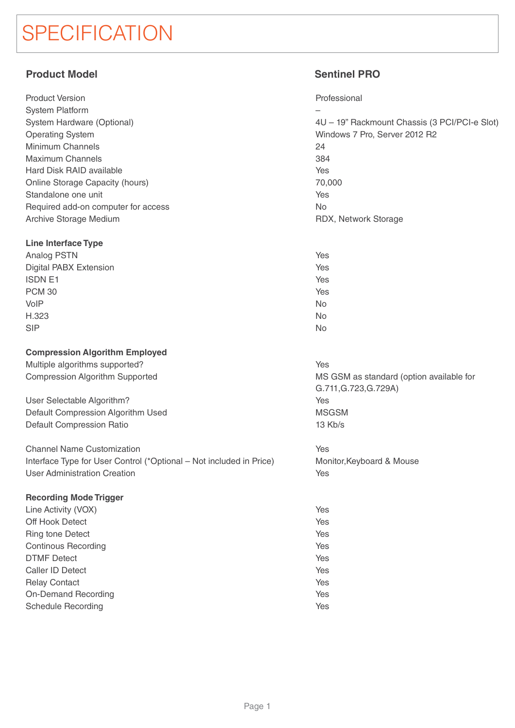# **SPECIFICATION**

# **Product Model Sentinel PRO**

| <b>Product Version</b>              |
|-------------------------------------|
| System Platform                     |
| System Hardware (Optional)          |
| <b>Operating System</b>             |
| Minimum Channels                    |
| <b>Maximum Channels</b>             |
| Hard Disk RAID available            |
| Online Storage Capacity (hours)     |
| Standalone one unit                 |
| Required add-on computer for access |
| Archive Storage Medium              |

### **Line Interface Type**

| Analog PSTN                   | Yes       |
|-------------------------------|-----------|
| <b>Digital PABX Extension</b> | Yes       |
| <b>ISDN E1</b>                | Yes       |
| <b>PCM 30</b>                 | Yes       |
| VoIP                          | <b>No</b> |
| H.323                         | <b>No</b> |
| <b>SIP</b>                    | <b>No</b> |

### **Compression Algorithm Employed**

Multiple algorithms supported? Compression Algorithm Supported

User Selectable Algorithm? Default Compression Algorithm Used Default Compression Ratio

Channel Name Customization Interface Type for User Control (\*Optional – Not included in Price) User Administration Creation

## **Recording Mode Trigger**

| Line Activity (VOX)        | Yes |
|----------------------------|-----|
| Off Hook Detect            | Yes |
| <b>Ring tone Detect</b>    | Yes |
| <b>Continous Recording</b> | Yes |
| <b>DTMF</b> Detect         | Yes |
| Caller ID Detect           | Yes |
| <b>Relay Contact</b>       | Yes |
| <b>On-Demand Recording</b> | Yes |
| <b>Schedule Recording</b>  | Yes |
|                            |     |

Professional

–

4U – 19" Rackmount Chassis (3 PCI/PCI-e Slot) Windows 7 Pro, Server 2012 R2 24 384 Yes 70,000 Yes No RDX, Network Storage

No

Yes

MS GSM as standard (option available for G.711,G.723,G.729A) Yes MSGSM 13 Kb/s

Yes Monitor,Keyboard & Mouse Yes